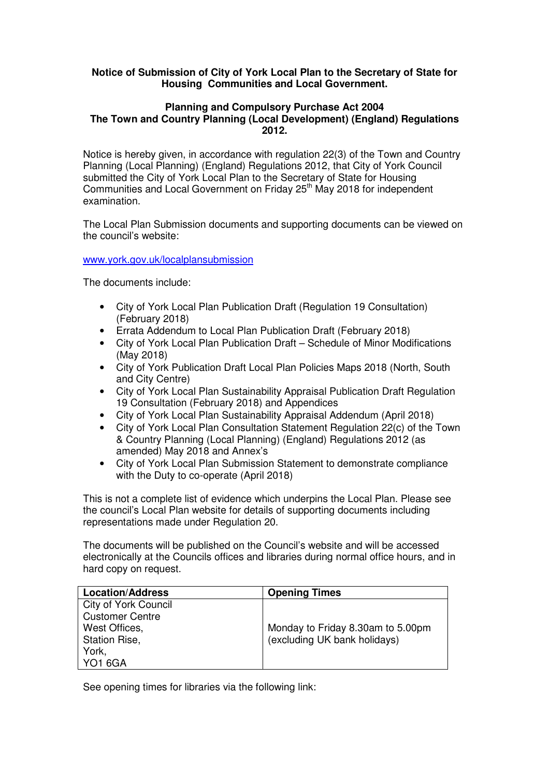## **Notice of Submission of City of York Local Plan to the Secretary of State for Housing Communities and Local Government.**

## **Planning and Compulsory Purchase Act 2004 The Town and Country Planning (Local Development) (England) Regulations 2012.**

Notice is hereby given, in accordance with regulation 22(3) of the Town and Country Planning (Local Planning) (England) Regulations 2012, that City of York Council submitted the City of York Local Plan to the Secretary of State for Housing Communities and Local Government on Friday 25<sup>th</sup> May 2018 for independent examination.

The Local Plan Submission documents and supporting documents can be viewed on the council's website:

www.york.gov.uk/localplansubmission

The documents include:

- City of York Local Plan Publication Draft (Regulation 19 Consultation) (February 2018)
- Errata Addendum to Local Plan Publication Draft (February 2018)
- City of York Local Plan Publication Draft Schedule of Minor Modifications (May 2018)
- City of York Publication Draft Local Plan Policies Maps 2018 (North, South and City Centre)
- City of York Local Plan Sustainability Appraisal Publication Draft Regulation 19 Consultation (February 2018) and Appendices
- City of York Local Plan Sustainability Appraisal Addendum (April 2018)
- City of York Local Plan Consultation Statement Regulation 22(c) of the Town & Country Planning (Local Planning) (England) Regulations 2012 (as amended) May 2018 and Annex's
- City of York Local Plan Submission Statement to demonstrate compliance with the Duty to co-operate (April 2018)

This is not a complete list of evidence which underpins the Local Plan. Please see the council's Local Plan website for details of supporting documents including representations made under Regulation 20.

The documents will be published on the Council's website and will be accessed electronically at the Councils offices and libraries during normal office hours, and in hard copy on request.

| <b>Location/Address</b> | <b>Opening Times</b>              |
|-------------------------|-----------------------------------|
| City of York Council    |                                   |
| <b>Customer Centre</b>  |                                   |
| West Offices,           | Monday to Friday 8.30am to 5.00pm |
| <b>Station Rise,</b>    | (excluding UK bank holidays)      |
| York,                   |                                   |
| <b>YO1 6GA</b>          |                                   |

See opening times for libraries via the following link: